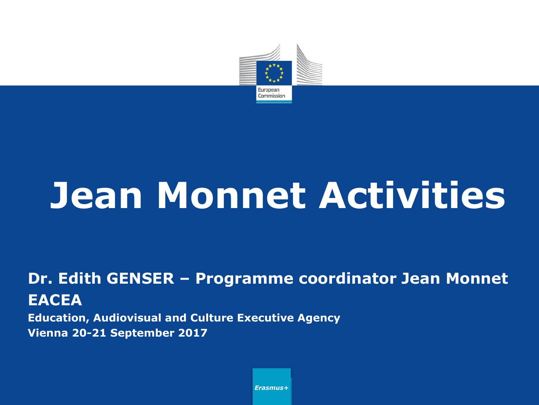

# **Jean Monnet Activities**

#### **Dr. Edith GENSER – Programme coordinator Jean Monnet EACEA**

**Education, Audiovisual and Culture Executive Agency Vienna 20-21 September 2017**

*Erasmus+*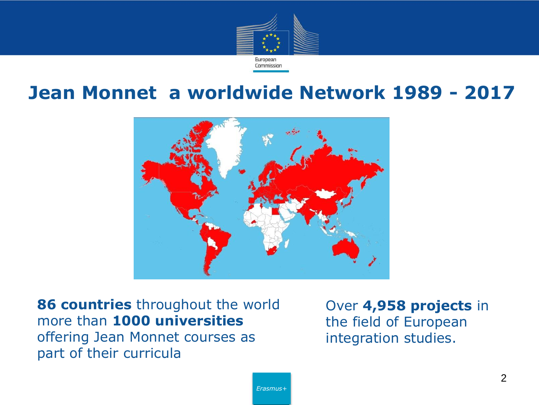

#### **Jean Monnet a worldwide Network 1989 - 2017**



**86 countries** throughout the world more than **1000 universities**  offering Jean Monnet courses as part of their curricula

Over **4,958 projects** in the field of European integration studies.

*Erasmus+*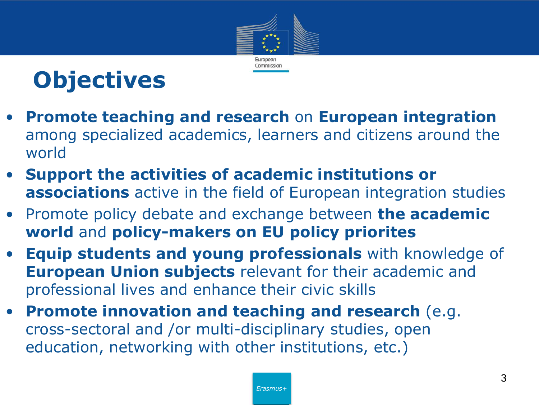



- **Promote teaching and research** on **European integration**  among specialized academics, learners and citizens around the world
- **Support the activities of academic institutions or associations** active in the field of European integration studies
- Promote policy debate and exchange between **the academic world** and **policy-makers on EU policy priorites**
- **Equip students and young professionals** with knowledge of **European Union subjects** relevant for their academic and professional lives and enhance their civic skills
- **Promote innovation and teaching and research** (e.g. cross-sectoral and /or multi-disciplinary studies, open education, networking with other institutions, etc.)

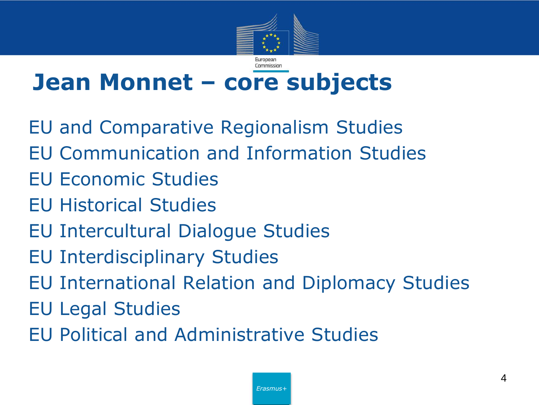

### **Jean Monnet – core subjects**

EU and Comparative Regionalism Studies EU Communication and Information Studies EU Economic Studies EU Historical Studies EU Intercultural Dialogue Studies EU Interdisciplinary Studies EU International Relation and Diplomacy Studies EU Legal Studies EU Political and Administrative Studies

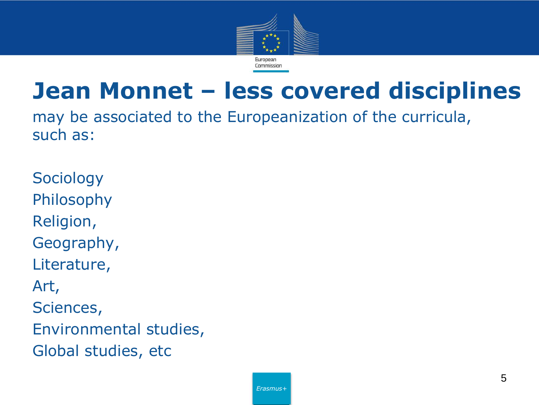

### **Jean Monnet – less covered disciplines**

may be associated to the Europeanization of the curricula, such as:

**Sociology** Philosophy Religion, Geography, Literature, Art, Sciences, Environmental studies, Global studies, etc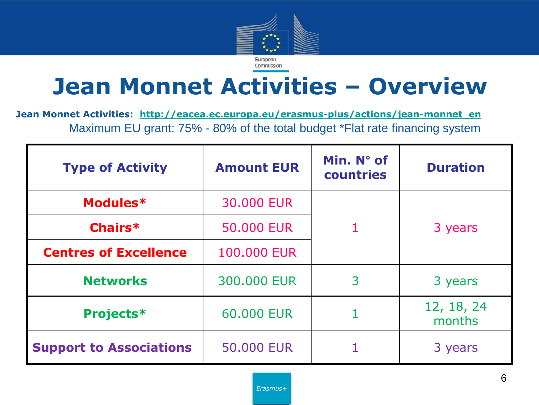

### **Jean Monnet Activities – Overview**

**Jean Monnet Activities: [http://eacea.ec.europa.eu/erasmus-plus/actions/jean-monnet\\_en](http://eacea.ec.europa.eu/erasmus-plus/actions/jean-monnet_en)** Maximum EU grant: 75% - 80% of the total budget \*Flat rate financing system

| <b>Type of Activity</b>        | <b>Amount EUR</b> | Min. $N^{\circ}$ of<br>countries | <b>Duration</b>      |
|--------------------------------|-------------------|----------------------------------|----------------------|
| Modules*                       | 30.000 EUR        |                                  |                      |
| Chairs*                        | 50,000 EUR        |                                  | 3 years              |
| <b>Centres of Excellence</b>   | 100,000 EUR       |                                  |                      |
| <b>Networks</b>                | 300,000 EUR       | 3                                | 3 years              |
| <b>Projects*</b>               | 60,000 EUR        |                                  | 12, 18, 24<br>months |
| <b>Support to Associations</b> | <b>50.000 EUR</b> |                                  | 3 years              |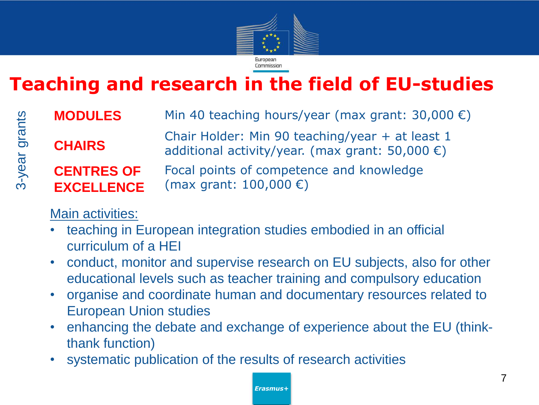

### **Teaching and research in the field of EU-studies**

| <b>MODULES</b>                         | Min 40 teaching hours/year (max grant: $30,000 \in$ )                                                        |
|----------------------------------------|--------------------------------------------------------------------------------------------------------------|
| <b>CHAIRS</b>                          | Chair Holder: Min 90 teaching/year + at least 1<br>additional activity/year. (max grant: 50,000 $\epsilon$ ) |
| <b>CENTRES OF</b><br><b>EXCELLENCE</b> | Focal points of competence and knowledge<br>(max grant: $100,000 \in$ )                                      |

#### Main activities:

3-year grants

3-year grants

- teaching in European integration studies embodied in an official curriculum of a HEI
- conduct, monitor and supervise research on EU subjects, also for other educational levels such as teacher training and compulsory education
- organise and coordinate human and documentary resources related to European Union studies
- enhancing the debate and exchange of experience about the EU (thinkthank function)
- systematic publication of the results of research activities

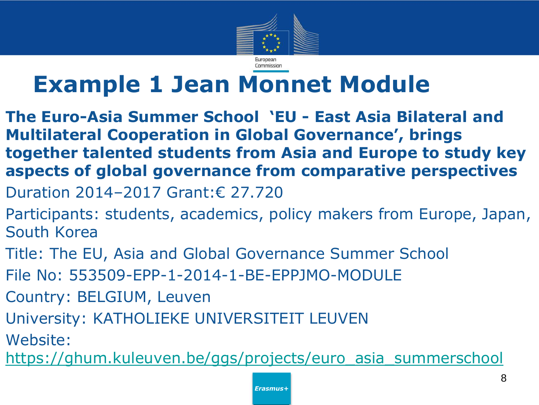

### **Example 1 Jean Monnet Module**

- **The Euro-Asia Summer School 'EU - East Asia Bilateral and Multilateral Cooperation in Global Governance', brings together talented students from Asia and Europe to study key aspects of global governance from comparative perspectives**
- Duration 2014–2017 Grant:€ 27.720
- Participants: students, academics, policy makers from Europe, Japan, South Korea
- Title: The EU, Asia and Global Governance Summer School
- File No: 553509-EPP-1-2014-1-BE-EPPJMO-MODULE
- Country: BELGIUM, Leuven
- University: KATHOLIEKE UNIVERSITEIT LEUVEN
- Website:
- [https://ghum.kuleuven.be/ggs/projects/euro\\_asia\\_summerschool](https://ghum.kuleuven.be/ggs/projects/euro_asia_summerschool)

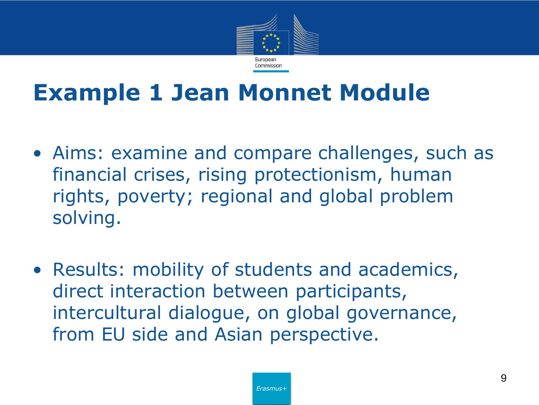

### **Example 1 Jean Monnet Module**

- Aims: examine and compare challenges, such as financial crises, rising protectionism, human rights, poverty; regional and global problem solving.
- Results: mobility of students and academics, direct interaction between participants, intercultural dialogue, on global governance, from EU side and Asian perspective.

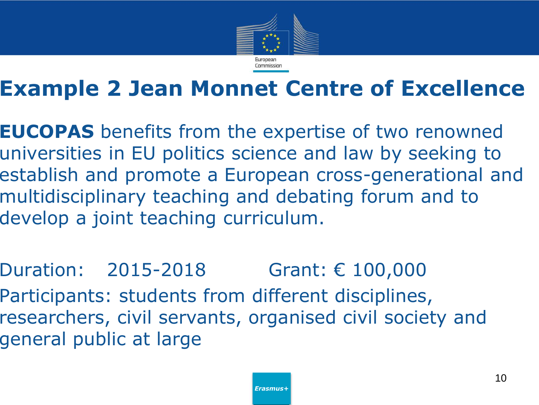

### **Example 2 Jean Monnet Centre of Excellence**

**EUCOPAS** benefits from the expertise of two renowned universities in EU politics science and law by seeking to establish and promote a European cross-generational and multidisciplinary teaching and debating forum and to develop a joint teaching curriculum.

Duration: 2015-2018 Grant: € 100,000 Participants: students from different disciplines, researchers, civil servants, organised civil society and general public at large

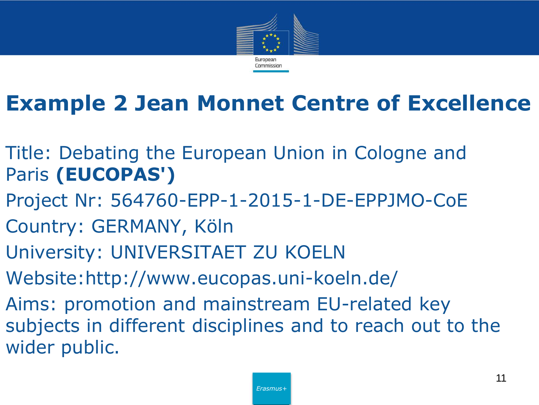

### **Example 2 Jean Monnet Centre of Excellence**

- Title: Debating the European Union in Cologne and Paris **(EUCOPAS')**
- Project Nr: 564760-EPP-1-2015-1-DE-EPPJMO-CoE
- Country: GERMANY, Köln
- University: UNIVERSITAET ZU KOELN
- Website:http://www.eucopas.uni-koeln.de/
- Aims: promotion and mainstream EU-related key subjects in different disciplines and to reach out to the wider public.

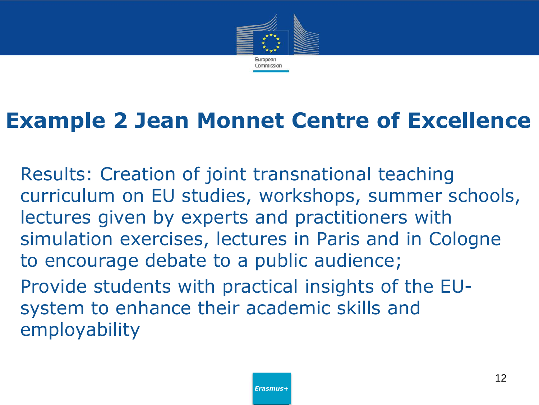

### **Example 2 Jean Monnet Centre of Excellence**

Results: Creation of joint transnational teaching curriculum on EU studies, workshops, summer schools, lectures given by experts and practitioners with simulation exercises, lectures in Paris and in Cologne to encourage debate to a public audience; Provide students with practical insights of the EUsystem to enhance their academic skills and

employability

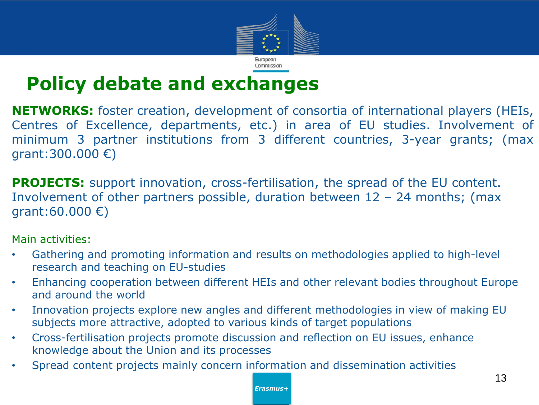

#### **Policy debate and exchanges**

**NETWORKS:** foster creation, development of consortia of international players (HEIs, Centres of Excellence, departments, etc.) in area of EU studies. Involvement of minimum 3 partner institutions from 3 different countries, 3-year grants; (max grant:300.000 €)

**PROJECTS:** support innovation, cross-fertilisation, the spread of the EU content. Involvement of other partners possible, duration between  $12 - 24$  months; (max grant:60.000 €)

Main activities:

- Gathering and promoting information and results on methodologies applied to high-level research and teaching on EU-studies
- Enhancing cooperation between different HEIs and other relevant bodies throughout Europe and around the world
- Innovation projects explore new angles and different methodologies in view of making EU subjects more attractive, adopted to various kinds of target populations
- Cross-fertilisation projects promote discussion and reflection on EU issues, enhance knowledge about the Union and its processes
- Spread content projects mainly concern information and dissemination activities

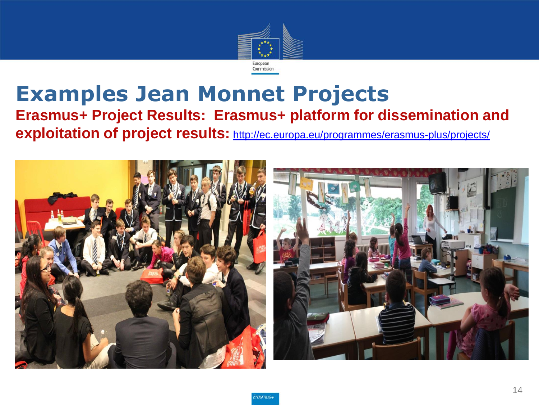

#### **Examples Jean Monnet Projects Erasmus+ Project Results: Erasmus+ platform for dissemination and exploitation of project results:** <http://ec.europa.eu/programmes/erasmus-plus/projects/>

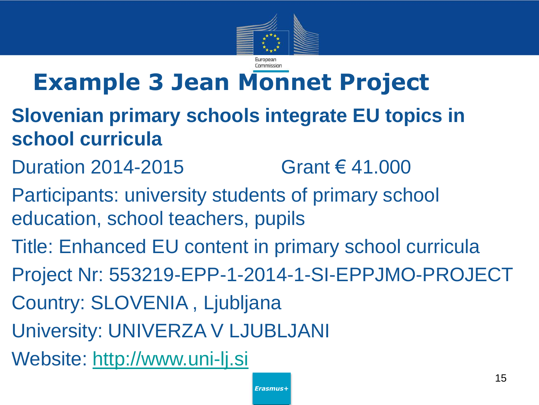

### **Example 3 Jean Monnet Project**

- **Slovenian primary schools integrate EU topics in school curricula**
- Duration 2014-2015 Grant  $\in$  41.000
- Participants: university students of primary school education, school teachers, pupils
- Title: Enhanced EU content in primary school curricula
- Project Nr: 553219-EPP-1-2014-1-SI-EPPJMO-PROJECT
- Country: SLOVENIA , Ljubljana
- University: UNIVERZA V LJUBLJANI
- Website: [http://www.uni-lj.si](http://www.uni-lj.si/)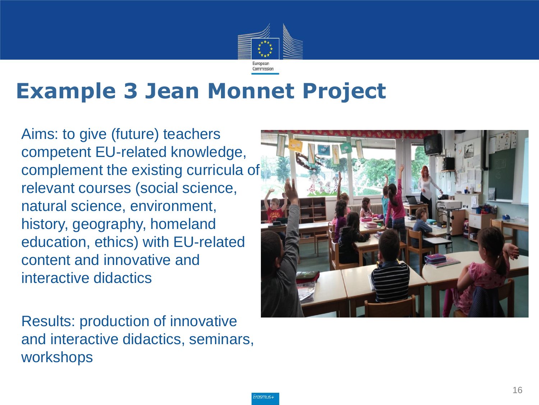

### **Example 3 Jean Monnet Project**

Aims: to give (future) teachers competent EU-related knowledge, complement the existing curricula of relevant courses (social science, natural science, environment, history, geography, homeland education, ethics) with EU-related content and innovative and interactive didactics

Results: production of innovative and interactive didactics, seminars, workshops

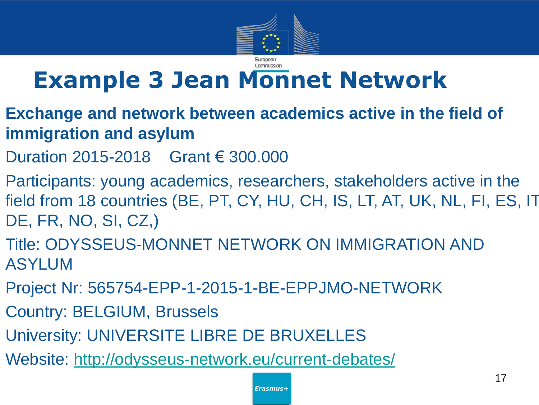

### **Example 3 Jean Monnet Network**

- **Exchange and network between academics active in the field of immigration and asylum**
- Duration 2015-2018 Grant € 300.000
- Participants: young academics, researchers, stakeholders active in the field from 18 countries (BE, PT, CY, HU, CH, IS, LT, AT, UK, NL, FI, ES, IT, DE, FR, NO, SI, CZ,)
- Title: ODYSSEUS-MONNET NETWORK ON IMMIGRATION AND ASYLUM
- Project Nr: 565754-EPP-1-2015-1-BE-EPPJMO-NETWORK
- Country: BELGIUM, Brussels
- University: UNIVERSITE LIBRE DE BRUXELLES
- Website: <http://odysseus-network.eu/current-debates/>

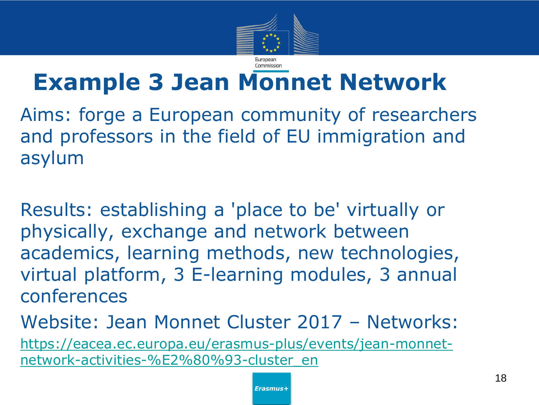

### **Example 3 Jean Monnet Network**

Aims: forge a European community of researchers and professors in the field of EU immigration and asylum

Results: establishing a 'place to be' virtually or physically, exchange and network between academics, learning methods, new technologies, virtual platform, 3 E-learning modules, 3 annual conferences

Website: Jean Monnet Cluster 2017 – Networks: [https://eacea.ec.europa.eu/erasmus-plus/events/jean-monnet](https://eacea.ec.europa.eu/erasmus-plus/events/jean-monnet-network-activities-%E2%80%93-cluster_en)[network-activities-%E2%80%93-cluster\\_en](https://eacea.ec.europa.eu/erasmus-plus/events/jean-monnet-network-activities-%E2%80%93-cluster_en)

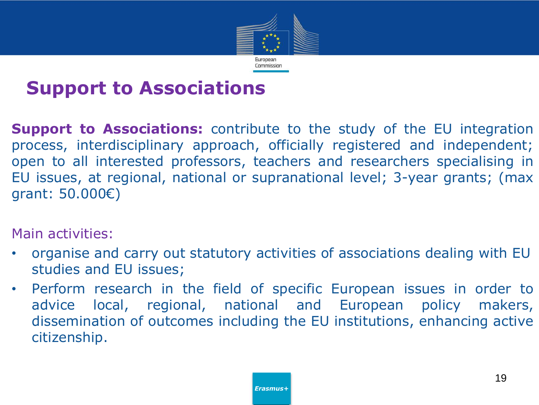

#### **Support to Associations**

**Support to Associations:** contribute to the study of the EU integration process, interdisciplinary approach, officially registered and independent; open to all interested professors, teachers and researchers specialising in EU issues, at regional, national or supranational level; 3-year grants; (max grant: 50.000€)

Main activities:

- organise and carry out statutory activities of associations dealing with EU studies and EU issues;
- Perform research in the field of specific European issues in order to advice local, regional, national and European policy makers, dissemination of outcomes including the EU institutions, enhancing active citizenship.

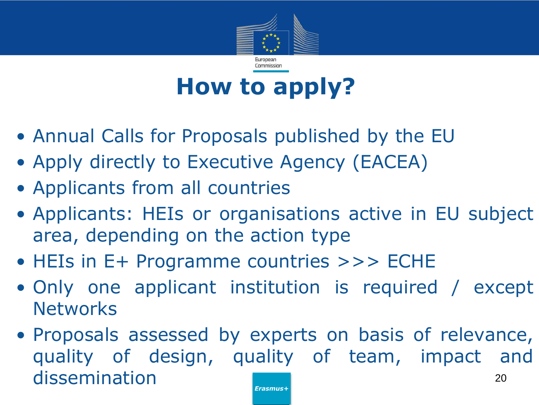

### **How to apply?**

- Annual Calls for Proposals published by the EU
- Apply directly to Executive Agency (EACEA)
- Applicants from all countries
- Applicants: HEIs or organisations active in EU subject area, depending on the action type
- HEIs in E+ Programme countries >>> ECHE
- Only one applicant institution is required / except **Networks**
- Proposals assessed by experts on basis of relevance, quality of design, quality of team, impact and dissemination 20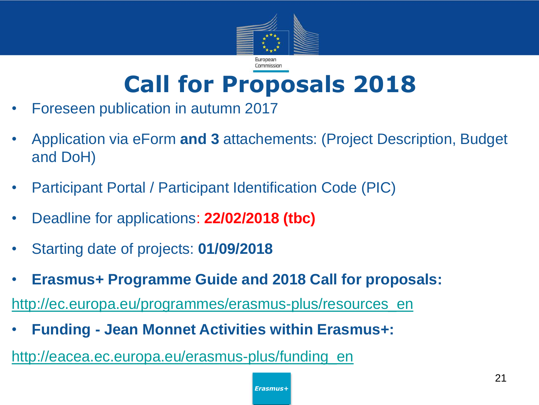

### **Call for Proposals 2018**

- Foreseen publication in autumn 2017
- Application via eForm **and 3** attachements: (Project Description, Budget and DoH)
- Participant Portal / Participant Identification Code (PIC)
- Deadline for applications: **22/02/2018 (tbc)**
- Starting date of projects: **01/09/2018**
- **Erasmus+ Programme Guide and 2018 Call for proposals:**

[http://ec.europa.eu/programmes/erasmus-plus/resources\\_en](http://ec.europa.eu/programmes/erasmus-plus/resources_en)

• **Funding - Jean Monnet Activities within Erasmus+:**

[http://eacea.ec.europa.eu/erasmus-plus/funding\\_en](http://eacea.ec.europa.eu/erasmus-plus/funding_en)

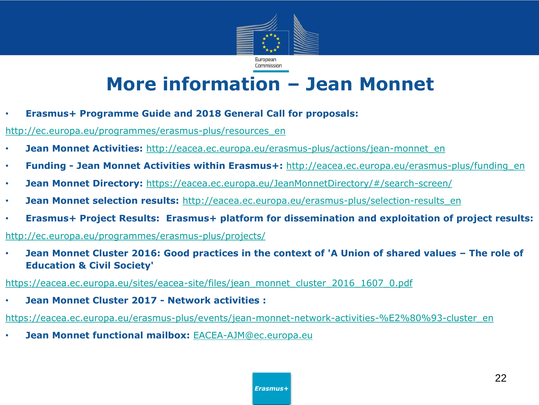

#### **More information – Jean Monnet**

• **Erasmus+ Programme Guide and 2018 General Call for proposals:**

[http://ec.europa.eu/programmes/erasmus-plus/resources\\_en](http://ec.europa.eu/programmes/erasmus-plus/resources_en)

- **Jean Monnet Activities:** [http://eacea.ec.europa.eu/erasmus-plus/actions/jean-monnet\\_en](http://eacea.ec.europa.eu/erasmus-plus/actions/jean-monnet_en)
- **Funding - Jean Monnet Activities within Erasmus+:** [http://eacea.ec.europa.eu/erasmus-plus/funding\\_en](http://eacea.ec.europa.eu/erasmus-plus/funding_en)
- **Jean Monnet Directory:** <https://eacea.ec.europa.eu/JeanMonnetDirectory/#/search-screen/>
- **Jean Monnet selection results:** [http://eacea.ec.europa.eu/erasmus-plus/selection-results\\_en](http://eacea.ec.europa.eu/erasmus-plus/selection-results_en)
- **Erasmus+ Project Results: Erasmus+ platform for dissemination and exploitation of project results:**

<http://ec.europa.eu/programmes/erasmus-plus/projects/>

• **Jean Monnet Cluster 2016: Good practices in the context of 'A Union of shared values – The role of Education & Civil Society'**

[https://eacea.ec.europa.eu/sites/eacea-site/files/jean\\_monnet\\_cluster\\_2016\\_1607\\_0.pdf](https://eacea.ec.europa.eu/sites/eacea-site/files/jean_monnet_cluster_2016_1607_0.pdf)

• **Jean Monnet Cluster 2017 - Network activities :**

[https://eacea.ec.europa.eu/erasmus-plus/events/jean-monnet-network-activities-%E2%80%93-cluster\\_en](https://eacea.ec.europa.eu/erasmus-plus/events/jean-monnet-network-activities-%E2%80%93-cluster_en)

• **Jean Monnet functional mailbox:** [EACEA-AJM@ec.europa.eu](mailto:EACEA-AJM@ec.europa.eu)